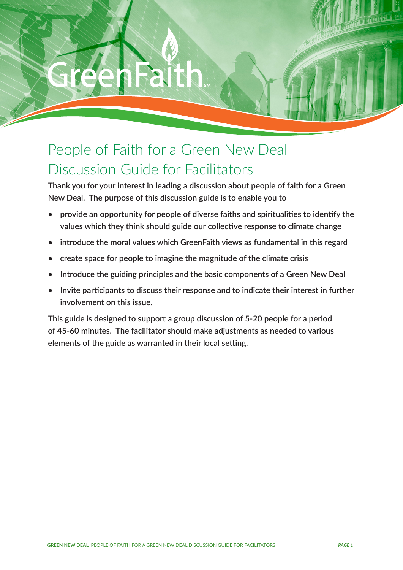PEOPLE OF FAITH FOR A GREEN NEW DEAL DISCUSSION GUIDE FOR FACILITATORS

GREEN NEW DEAL

# People of Faith for a Green New Deal Discussion Guide for Facilitators

**Thank you for your interest in leading a discussion about people of faith for a Green New Deal. The purpose of this discussion guide is to enable you to**

- **• provide an opportunity for people of diverse faiths and spiritualities to identify the values which they think should guide our collective response to climate change**
- **• introduce the moral values which GreenFaith views as fundamental in this regard**
- **• create space for people to imagine the magnitude of the climate crisis**
- **• Introduce the guiding principles and the basic components of a Green New Deal**
- **• Invite participants to discuss their response and to indicate their interest in further involvement on this issue.**

**This guide is designed to support a group discussion of 5-20 people for a period of 45-60 minutes. The facilitator should make adjustments as needed to various elements of the guide as warranted in their local setting.**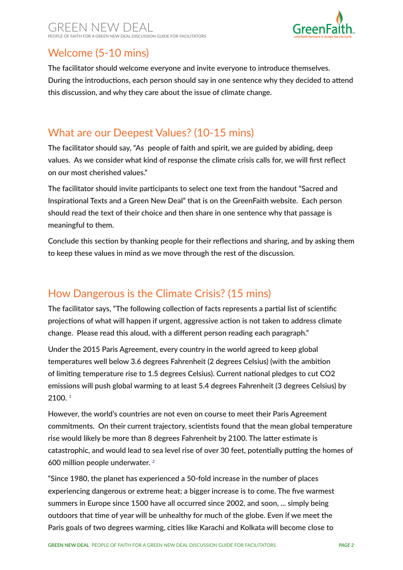#### GREEN NEW DEAL PEOPLE OF FAITH FOR A GREEN NEW DEAL DISCUSSION GUIDE FOR FACILITATORS



## Welcome (5-10 mins)

**The facilitator should welcome everyone and invite everyone to introduce themselves. During the introductions, each person should say in one sentence why they decided to attend this discussion, and why they care about the issue of climate change.**

#### What are our Deepest Values? (10-15 mins)

**The facilitator should say, "As people of faith and spirit, we are guided by abiding, deep values. As we consider what kind of response the climate crisis calls for, we will first reflect on our most cherished values."**

**The facilitator should invite participants to select one text from the handout "Sacred and Inspirational Texts and a Green New Deal" that is on the GreenFaith website. Each person should read the text of their choice and then share in one sentence why that passage is meaningful to them.**

**Conclude this section by thanking people for their reflections and sharing, and by asking them to keep these values in mind as we move through the rest of the discussion.** 

## How Dangerous is the Climate Crisis? (15 mins)

**The facilitator says, "The following collection of facts represents a partial list of scientific projections of what will happen if urgent, aggressive action is not taken to address climate change. Please read this aloud, with a different person reading each paragraph."**

**Under the 2015 Paris Agreement, every country in the world agreed to keep global temperatures well below 3.6 degrees Fahrenheit (2 degrees Celsius) (with the ambition of limiting temperature rise to 1.5 degrees Celsius). Current national pledges to cut CO2 emissions will push global warming to at least 5.4 degrees Fahrenheit (3 degrees Celsius) by 2100.** *<sup>1</sup>*

**However, the world's countries are not even on course to meet their Paris Agreement commitments. On their current trajectory, scientists found that the mean global temperature rise would likely be more than 8 degrees Fahrenheit by 2100. The latter estimate is catastrophic, and would lead to sea level rise of over 30 feet, potentially putting the homes of 600 million people underwater.** *<sup>2</sup>*

**"Since 1980, the planet has experienced a 50-fold increase in the number of places experiencing dangerous or extreme heat; a bigger increase is to come. The five warmest summers in Europe since 1500 have all occurred since 2002, and soon, ... simply being outdoors that time of year will be unhealthy for much of the globe. Even if we meet the Paris goals of two degrees warming, cities like Karachi and Kolkata will become close to**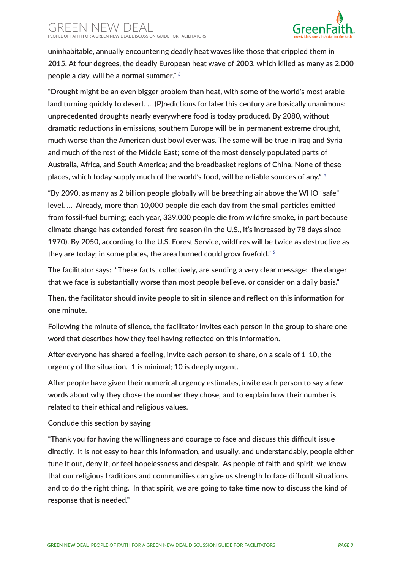#### GREEN NEW DEAL PEOPLE OF FAITH FOR A GREEN NEW DEAL DISCUSSION GUIDE FOR FACILITATORS



**uninhabitable, annually encountering deadly heat waves like those that crippled them in 2015. At four degrees, the deadly European heat wave of 2003, which killed as many as 2,000 people a day, will be a normal summer."** *<sup>3</sup>*

**"Drought might be an even bigger problem than heat, with some of the world's most arable land turning quickly to desert. ... (P)redictions for later this century are basically unanimous: unprecedented droughts nearly everywhere food is today produced. By 2080, without dramatic reductions in emissions, southern Europe will be in permanent extreme drought, much worse than the American dust bowl ever was. The same will be true in Iraq and Syria and much of the rest of the Middle East; some of the most densely populated parts of Australia, Africa, and South America; and the breadbasket regions of China. None of these places, which today supply much of the world's food, will be reliable sources of any."** *<sup>4</sup>*

**"By 2090, as many as 2 billion people globally will be breathing air above the WHO "safe" level. … Already, more than 10,000 people die each day from the small particles emitted from fossil-fuel burning; each year, 339,000 people die from wildfire smoke, in part because climate change has extended forest-fire season (in the U.S., it's increased by 78 days since 1970). By 2050, according to the U.S. Forest Service, wildfires will be twice as destructive as they are today; in some places, the area burned could grow fivefold."** *<sup>5</sup>*

**The facilitator says: "These facts, collectively, are sending a very clear message: the danger that we face is substantially worse than most people believe, or consider on a daily basis."**

**Then, the facilitator should invite people to sit in silence and reflect on this information for one minute.** 

**Following the minute of silence, the facilitator invites each person in the group to share one word that describes how they feel having reflected on this information.**

**After everyone has shared a feeling, invite each person to share, on a scale of 1-10, the urgency of the situation. 1 is minimal; 10 is deeply urgent.**

**After people have given their numerical urgency estimates, invite each person to say a few words about why they chose the number they chose, and to explain how their number is related to their ethical and religious values.**

#### **Conclude this section by saying**

**"Thank you for having the willingness and courage to face and discuss this difficult issue directly. It is not easy to hear this information, and usually, and understandably, people either tune it out, deny it, or feel hopelessness and despair. As people of faith and spirit, we know that our religious traditions and communities can give us strength to face difficult situations and to do the right thing. In that spirit, we are going to take time now to discuss the kind of response that is needed."**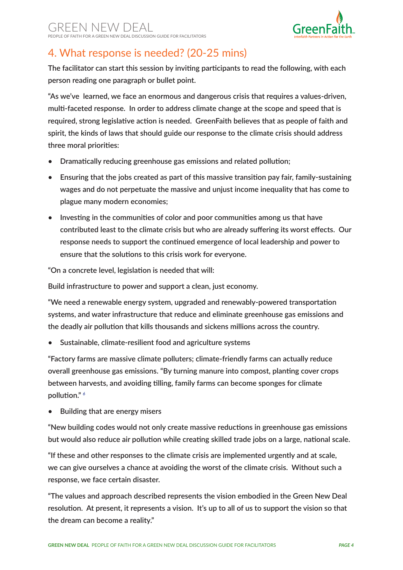

## 4. What response is needed? (20-25 mins)

**The facilitator can start this session by inviting participants to read the following, with each person reading one paragraph or bullet point.**

**"As we've learned, we face an enormous and dangerous crisis that requires a values-driven, multi-faceted response. In order to address climate change at the scope and speed that is required, strong legislative action is needed. GreenFaith believes that as people of faith and spirit, the kinds of laws that should guide our response to the climate crisis should address three moral priorities:**

- **• Dramatically reducing greenhouse gas emissions and related pollution;**
- **• Ensuring that the jobs created as part of this massive transition pay fair, family-sustaining wages and do not perpetuate the massive and unjust income inequality that has come to plague many modern economies;**
- **• Investing in the communities of color and poor communities among us that have contributed least to the climate crisis but who are already suffering its worst effects. Our response needs to support the continued emergence of local leadership and power to ensure that the solutions to this crisis work for everyone.**

**"On a concrete level, legislation is needed that will:**

**Build infrastructure to power and support a clean, just economy.** 

**"We need a renewable energy system, upgraded and renewably-powered transportation systems, and water infrastructure that reduce and eliminate greenhouse gas emissions and the deadly air pollution that kills thousands and sickens millions across the country.**

**• Sustainable, climate-resilient food and agriculture systems**

**"Factory farms are massive climate polluters; climate-friendly farms can actually reduce overall greenhouse gas emissions. "By turning manure into compost, planting cover crops between harvests, and avoiding tilling, family farms can become sponges for climate pollution."** *<sup>6</sup>*

**• Building that are energy misers**

**"New building codes would not only create massive reductions in greenhouse gas emissions but would also reduce air pollution while creating skilled trade jobs on a large, national scale.**

**"If these and other responses to the climate crisis are implemented urgently and at scale, we can give ourselves a chance at avoiding the worst of the climate crisis. Without such a response, we face certain disaster.**

**"The values and approach described represents the vision embodied in the Green New Deal resolution. At present, it represents a vision. It's up to all of us to support the vision so that the dream can become a reality."**